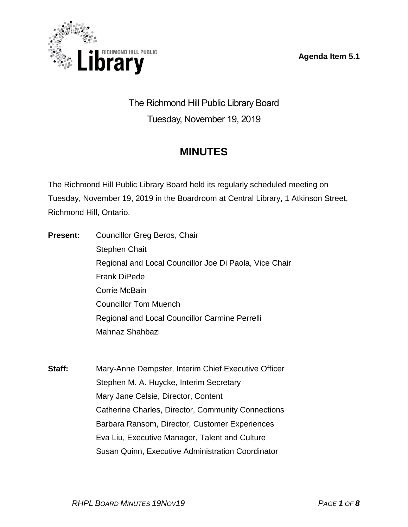**Agenda Item 5.1**



The Richmond Hill Public Library Board Tuesday, November 19, 2019

# **MINUTES**

The Richmond Hill Public Library Board held its regularly scheduled meeting on Tuesday, November 19, 2019 in the Boardroom at Central Library, 1 Atkinson Street, Richmond Hill, Ontario.

**Present:** Councillor Greg Beros, Chair Stephen Chait Regional and Local Councillor Joe Di Paola, Vice Chair Frank DiPede Corrie McBain Councillor Tom Muench Regional and Local Councillor Carmine Perrelli Mahnaz Shahbazi

**Staff:** Mary-Anne Dempster, Interim Chief Executive Officer Stephen M. A. Huycke, Interim Secretary Mary Jane Celsie, Director, Content Catherine Charles, Director, Community Connections Barbara Ransom, Director, Customer Experiences Eva Liu, Executive Manager, Talent and Culture Susan Quinn, Executive Administration Coordinator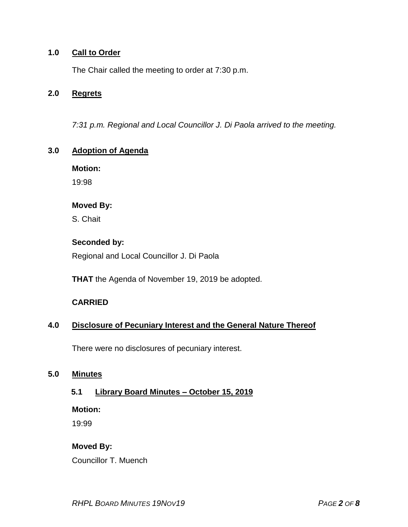#### **1.0 Call to Order**

The Chair called the meeting to order at 7:30 p.m.

#### **2.0 Regrets**

*7:31 p.m. Regional and Local Councillor J. Di Paola arrived to the meeting.*

## **3.0 Adoption of Agenda**

**Motion:**

19:98

#### **Moved By:**

S. Chait

#### **Seconded by:**

Regional and Local Councillor J. Di Paola

**THAT** the Agenda of November 19, 2019 be adopted.

## **CARRIED**

## **4.0 Disclosure of Pecuniary Interest and the General Nature Thereof**

There were no disclosures of pecuniary interest.

#### **5.0 Minutes**

#### **5.1 Library Board Minutes – October 15, 2019**

**Motion:**

19:99

## **Moved By:**

Councillor T. Muench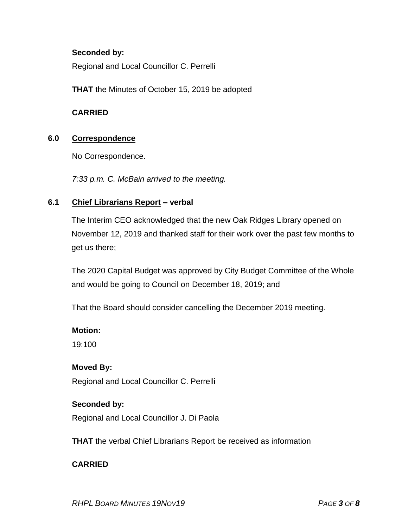#### **Seconded by:**

Regional and Local Councillor C. Perrelli

**THAT** the Minutes of October 15, 2019 be adopted

#### **CARRIED**

## **6.0 Correspondence**

No Correspondence.

*7:33 p.m. C. McBain arrived to the meeting.*

## **6.1 Chief Librarians Report – verbal**

The Interim CEO acknowledged that the new Oak Ridges Library opened on November 12, 2019 and thanked staff for their work over the past few months to get us there;

The 2020 Capital Budget was approved by City Budget Committee of the Whole and would be going to Council on December 18, 2019; and

That the Board should consider cancelling the December 2019 meeting.

## **Motion:**

19:100

## **Moved By:**

Regional and Local Councillor C. Perrelli

#### **Seconded by:**

Regional and Local Councillor J. Di Paola

**THAT** the verbal Chief Librarians Report be received as information

## **CARRIED**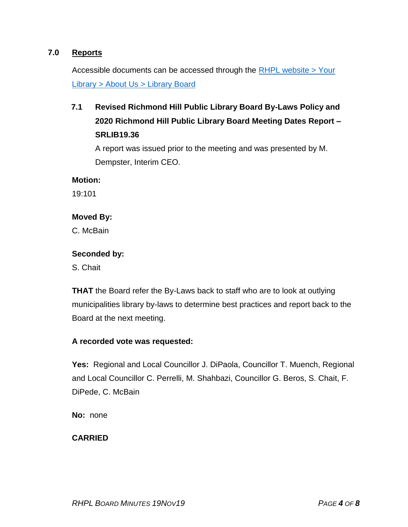## **7.0 Reports**

Accessible documents can be accessed through the [RHPL website > Your](https://www.rhpl.ca/your-library/about-us/library-board)  Library [> About Us > Library](https://www.rhpl.ca/your-library/about-us/library-board) Board

## **7.1 Revised Richmond Hill Public Library Board By-Laws Policy and 2020 Richmond Hill Public Library Board Meeting Dates Report – SRLIB19.36**

A report was issued prior to the meeting and was presented by M. Dempster, Interim CEO.

#### **Motion:**

19:101

#### **Moved By:**

C. McBain

#### **Seconded by:**

S. Chait

**THAT** the Board refer the By-Laws back to staff who are to look at outlying municipalities library by-laws to determine best practices and report back to the Board at the next meeting.

#### **A recorded vote was requested:**

**Yes:** Regional and Local Councillor J. DiPaola, Councillor T. Muench, Regional and Local Councillor C. Perrelli, M. Shahbazi, Councillor G. Beros, S. Chait, F. DiPede, C. McBain

**No:** none

#### **CARRIED**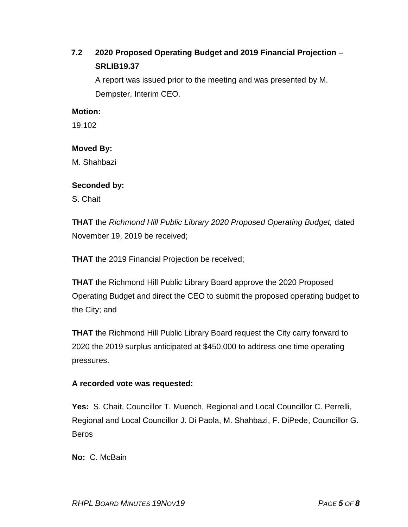## **7.2 2020 Proposed Operating Budget and 2019 Financial Projection – SRLIB19.37**

A report was issued prior to the meeting and was presented by M. Dempster, Interim CEO.

## **Motion:**

19:102

#### **Moved By:**

M. Shahbazi

#### **Seconded by:**

S. Chait

**THAT** the *Richmond Hill Public Library 2020 Proposed Operating Budget,* dated November 19, 2019 be received;

**THAT** the 2019 Financial Projection be received;

**THAT** the Richmond Hill Public Library Board approve the 2020 Proposed Operating Budget and direct the CEO to submit the proposed operating budget to the City; and

**THAT** the Richmond Hill Public Library Board request the City carry forward to 2020 the 2019 surplus anticipated at \$450,000 to address one time operating pressures.

## **A recorded vote was requested:**

**Yes:** S. Chait, Councillor T. Muench, Regional and Local Councillor C. Perrelli, Regional and Local Councillor J. Di Paola, M. Shahbazi, F. DiPede, Councillor G. Beros

**No:** C. McBain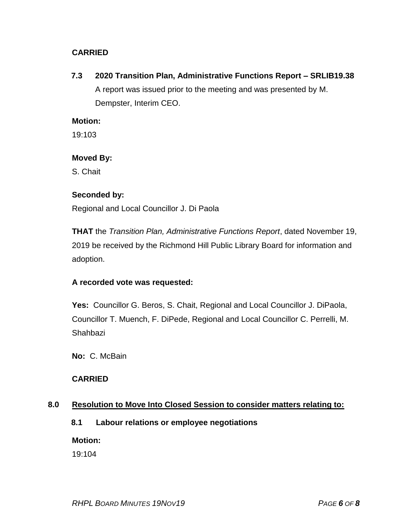## **CARRIED**

**7.3 2020 Transition Plan, Administrative Functions Report – SRLIB19.38** A report was issued prior to the meeting and was presented by M. Dempster, Interim CEO.

#### **Motion:**

19:103

#### **Moved By:**

S. Chait

#### **Seconded by:**

Regional and Local Councillor J. Di Paola

**THAT** the *Transition Plan, Administrative Functions Report*, dated November 19, 2019 be received by the Richmond Hill Public Library Board for information and adoption.

## **A recorded vote was requested:**

**Yes:** Councillor G. Beros, S. Chait, Regional and Local Councillor J. DiPaola, Councillor T. Muench, F. DiPede, Regional and Local Councillor C. Perrelli, M. Shahbazi

**No:** C. McBain

## **CARRIED**

## **8.0 Resolution to Move Into Closed Session to consider matters relating to:**

## **8.1 Labour relations or employee negotiations**

**Motion:**

19:104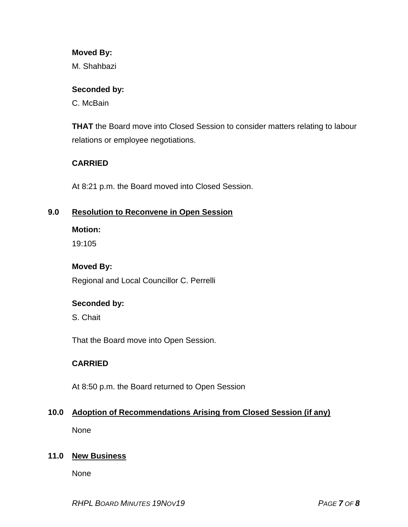#### **Moved By:**

M. Shahbazi

#### **Seconded by:**

C. McBain

**THAT** the Board move into Closed Session to consider matters relating to labour relations or employee negotiations.

## **CARRIED**

At 8:21 p.m. the Board moved into Closed Session.

## **9.0 Resolution to Reconvene in Open Session**

#### **Motion:**

19:105

## **Moved By:**

Regional and Local Councillor C. Perrelli

## **Seconded by:**

S. Chait

That the Board move into Open Session.

## **CARRIED**

At 8:50 p.m. the Board returned to Open Session

## **10.0 Adoption of Recommendations Arising from Closed Session (if any)**

None

## **11.0 New Business**

None